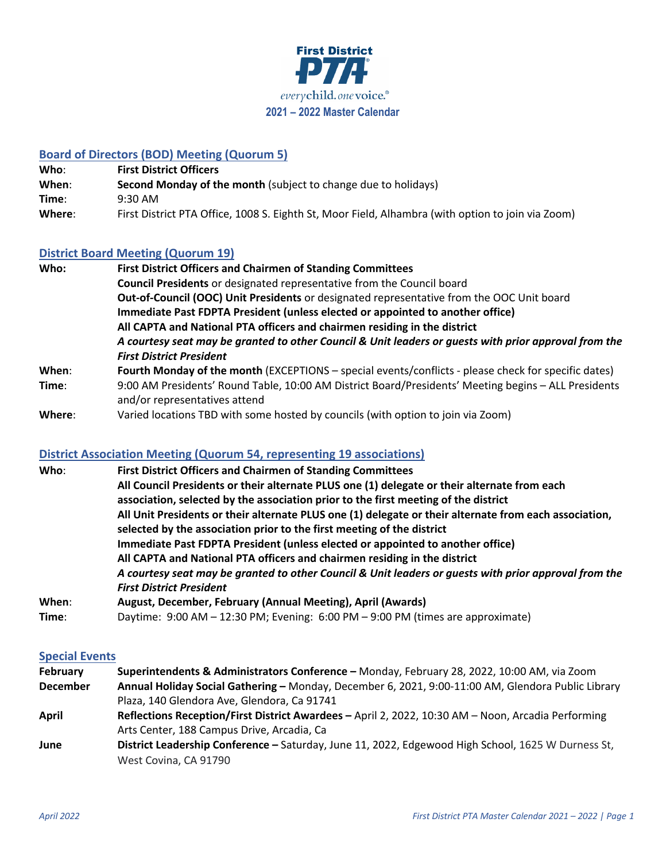

# **Board of Directors (BOD) Meeting (Quorum 5)**

| Who:   | <b>First District Officers</b>                                                                    |
|--------|---------------------------------------------------------------------------------------------------|
| When:  | <b>Second Monday of the month</b> (subject to change due to holidays)                             |
| Time:  | $9:30 \text{ AM}$                                                                                 |
| Where: | First District PTA Office, 1008 S. Eighth St, Moor Field, Alhambra (with option to join via Zoom) |

## **District Board Meeting (Quorum 19)**

| Who:   | <b>First District Officers and Chairmen of Standing Committees</b>                                    |
|--------|-------------------------------------------------------------------------------------------------------|
|        | <b>Council Presidents</b> or designated representative from the Council board                         |
|        | Out-of-Council (OOC) Unit Presidents or designated representative from the OOC Unit board             |
|        | Immediate Past FDPTA President (unless elected or appointed to another office)                        |
|        | All CAPTA and National PTA officers and chairmen residing in the district                             |
|        | A courtesy seat may be granted to other Council & Unit leaders or guests with prior approval from the |
|        | <b>First District President</b>                                                                       |
| When:  | Fourth Monday of the month (EXCEPTIONS - special events/conflicts - please check for specific dates)  |
| Time:  | 9:00 AM Presidents' Round Table, 10:00 AM District Board/Presidents' Meeting begins - ALL Presidents  |
|        | and/or representatives attend                                                                         |
| Where: | Varied locations TBD with some hosted by councils (with option to join via Zoom)                      |

# **District Association Meeting (Quorum 54, representing 19 associations)**

| Who:  | <b>First District Officers and Chairmen of Standing Committees</b>                                     |
|-------|--------------------------------------------------------------------------------------------------------|
|       | All Council Presidents or their alternate PLUS one (1) delegate or their alternate from each           |
|       | association, selected by the association prior to the first meeting of the district                    |
|       | All Unit Presidents or their alternate PLUS one (1) delegate or their alternate from each association, |
|       | selected by the association prior to the first meeting of the district                                 |
|       | Immediate Past FDPTA President (unless elected or appointed to another office)                         |
|       | All CAPTA and National PTA officers and chairmen residing in the district                              |
|       | A courtesy seat may be granted to other Council & Unit leaders or guests with prior approval from the  |
|       | <b>First District President</b>                                                                        |
| When: | August, December, February (Annual Meeting), April (Awards)                                            |
| Time: | Daytime: 9:00 AM - 12:30 PM; Evening: 6:00 PM - 9:00 PM (times are approximate)                        |

#### **Special Events**

| <b>February</b> | Superintendents & Administrators Conference - Monday, February 28, 2022, 10:00 AM, via Zoom        |
|-----------------|----------------------------------------------------------------------------------------------------|
| <b>December</b> | Annual Holiday Social Gathering - Monday, December 6, 2021, 9:00-11:00 AM, Glendora Public Library |
|                 | Plaza, 140 Glendora Ave, Glendora, Ca 91741                                                        |
| April           | Reflections Reception/First District Awardees - April 2, 2022, 10:30 AM - Noon, Arcadia Performing |
|                 | Arts Center, 188 Campus Drive, Arcadia, Ca                                                         |
| June            | District Leadership Conference - Saturday, June 11, 2022, Edgewood High School, 1625 W Durness St, |
|                 | West Covina, CA 91790                                                                              |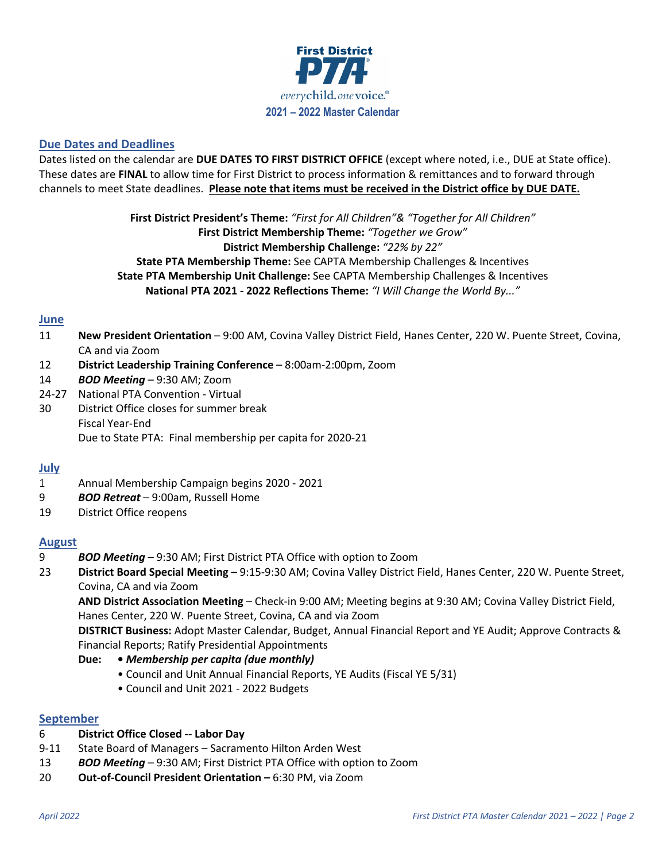

## **Due Dates and Deadlines**

Dates listed on the calendar are **DUE DATES TO FIRST DISTRICT OFFICE** (except where noted, i.e., DUE at State office). These dates are **FINAL** to allow time for First District to process information & remittances and to forward through channels to meet State deadlines. **Please note that items must be received in the District office by DUE DATE.**

> **First District President's Theme:** *"First for All Children"& "Together for All Children"* **First District Membership Theme:** *"Together we Grow"* **District Membership Challenge:** *"22% by 22"* **State PTA Membership Theme:** See CAPTA Membership Challenges & Incentives **State PTA Membership Unit Challenge:** See CAPTA Membership Challenges & Incentives **National PTA 2021 - 2022 Reflections Theme:** *"I Will Change the World By..."*

### **June**

- 11 **New President Orientation** 9:00 AM, Covina Valley District Field, Hanes Center, 220 W. Puente Street, Covina, CA and via Zoom
- 12 **District Leadership Training Conference** 8:00am-2:00pm, Zoom
- 14 *BOD Meeting* 9:30 AM; Zoom
- 24-27 National PTA Convention Virtual
- 30 District Office closes for summer break Fiscal Year-End Due to State PTA: Final membership per capita for 2020-21

#### **July**

- 1 Annual Membership Campaign begins 2020 2021
- 9 *BOD Retreat* 9:00am, Russell Home
- 19 District Office reopens

#### **August**

- 9 *BOD Meeting* 9:30 AM; First District PTA Office with option to Zoom
- 23 **District Board Special Meeting –** 9:15-9:30 AM; Covina Valley District Field, Hanes Center, 220 W. Puente Street, Covina, CA and via Zoom

**AND District Association Meeting** – Check-in 9:00 AM; Meeting begins at 9:30 AM; Covina Valley District Field, Hanes Center, 220 W. Puente Street, Covina, CA and via Zoom

**DISTRICT Business:** Adopt Master Calendar, Budget, Annual Financial Report and YE Audit; Approve Contracts & Financial Reports; Ratify Presidential Appointments

- **Due: •** *Membership per capita (due monthly)*
	- Council and Unit Annual Financial Reports, YE Audits (Fiscal YE 5/31)
	- Council and Unit 2021 2022 Budgets

#### **September**

- 6 **District Office Closed -- Labor Day**
- 9-11 State Board of Managers Sacramento Hilton Arden West
- 13 *BOD Meeting* 9:30 AM; First District PTA Office with option to Zoom
- 20 **Out-of-Council President Orientation –** 6:30 PM, via Zoom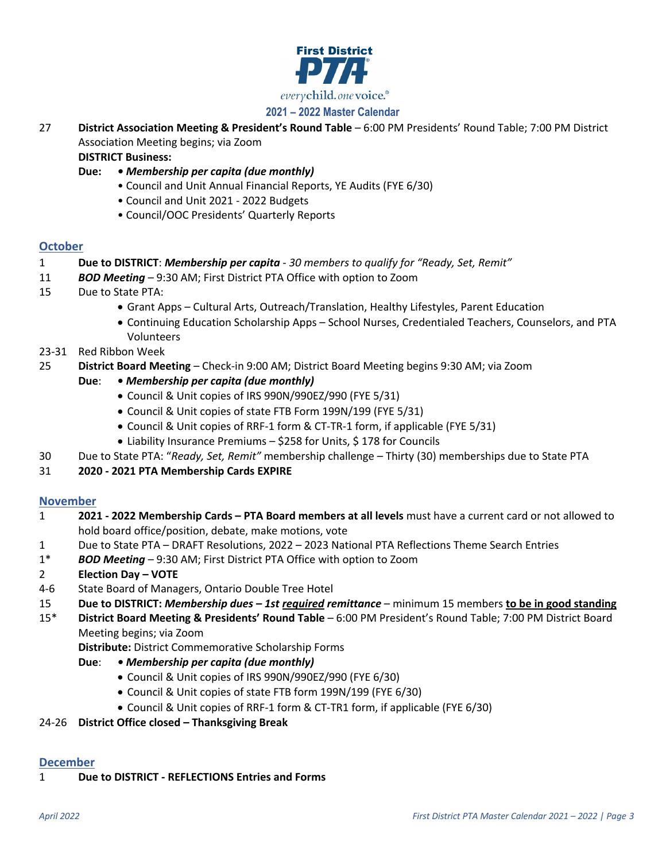

# **2021 – 2022 Master Calendar**

27 **District Association Meeting & President's Round Table** – 6:00 PM Presidents' Round Table; 7:00 PM District Association Meeting begins; via Zoom

**DISTRICT Business:**

- **Due:**  *Membership per capita (due monthly)*
	- Council and Unit Annual Financial Reports, YE Audits (FYE 6/30)
	- Council and Unit 2021 2022 Budgets
	- Council/OOC Presidents' Quarterly Reports

### **October**

- 1 **Due to DISTRICT**: *Membership per capita 30 members to qualify for "Ready, Set, Remit"*
- 11 *BOD Meeting* 9:30 AM; First District PTA Office with option to Zoom
- 15 Due to State PTA:
	- Grant Apps Cultural Arts, Outreach/Translation, Healthy Lifestyles, Parent Education
	- Continuing Education Scholarship Apps School Nurses, Credentialed Teachers, Counselors, and PTA Volunteers
- 23-31 Red Ribbon Week
- 25 **District Board Meeting** Check-in 9:00 AM; District Board Meeting begins 9:30 AM; via Zoom
	- **Due**: *Membership per capita (due monthly)*
		- Council & Unit copies of IRS 990N/990EZ/990 (FYE 5/31)
		- Council & Unit copies of state FTB Form 199N/199 (FYE 5/31)
		- Council & Unit copies of RRF-1 form & CT-TR-1 form, if applicable (FYE 5/31)
		- Liability Insurance Premiums \$258 for Units, \$178 for Councils
- 30 Due to State PTA: "*Ready, Set, Remit"* membership challenge Thirty (30) memberships due to State PTA
- 31 **2020 - 2021 PTA Membership Cards EXPIRE**

### **November**

- 1 **2021 - 2022 Membership Cards – PTA Board members at all levels** must have a current card or not allowed to hold board office/position, debate, make motions, vote
- 1 Due to State PTA DRAFT Resolutions, 2022 2023 National PTA Reflections Theme Search Entries
- 1\* *BOD Meeting* 9:30 AM; First District PTA Office with option to Zoom
- 2 **Election Day – VOTE**
- 4-6 State Board of Managers, Ontario Double Tree Hotel
- 15 **Due to DISTRICT:** *Membership dues – 1st required remittance* minimum 15 members **to be in good standing**

15\* **District Board Meeting & Presidents' Round Table** – 6:00 PM President's Round Table; 7:00 PM District Board Meeting begins; via Zoom

**Distribute:** District Commemorative Scholarship Forms

- **Due**:  *Membership per capita (due monthly)*
	- Council & Unit copies of IRS 990N/990EZ/990 (FYE 6/30)
	- Council & Unit copies of state FTB form 199N/199 (FYE 6/30)
	- Council & Unit copies of RRF-1 form & CT-TR1 form, if applicable (FYE 6/30)
- 24-26 **District Office closed – Thanksgiving Break**

# **December**

1 **Due to DISTRICT - REFLECTIONS Entries and Forms**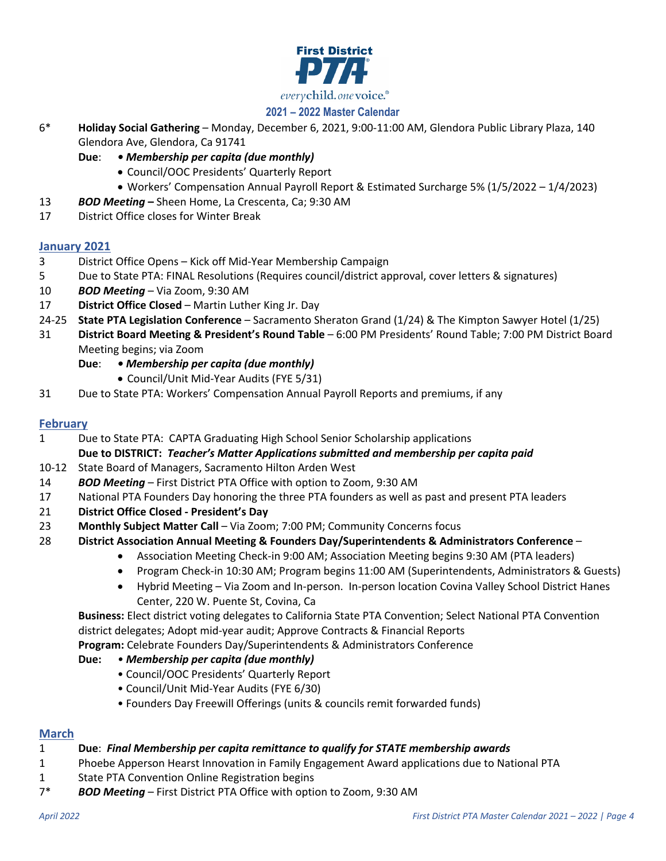

# **2021 – 2022 Master Calendar**

- 6\* **Holiday Social Gathering**  Monday, December 6, 2021, 9:00-11:00 AM, Glendora Public Library Plaza, 140 Glendora Ave, Glendora, Ca 91741
	- **Due**:  *Membership per capita (due monthly)*
		- Council/OOC Presidents' Quarterly Report
		- Workers' Compensation Annual Payroll Report & Estimated Surcharge 5% (1/5/2022 1/4/2023)
- 13 *BOD Meeting* **–** Sheen Home, La Crescenta, Ca; 9:30 AM
- 17 District Office closes for Winter Break

## **January 2021**

- 3 District Office Opens Kick off Mid-Year Membership Campaign
- 5 Due to State PTA: FINAL Resolutions (Requires council/district approval, cover letters & signatures)
- 10 *BOD Meeting* Via Zoom, 9:30 AM
- 17 **District Office Closed**  Martin Luther King Jr. Day
- 24-25 **State PTA Legislation Conference** Sacramento Sheraton Grand (1/24) & The Kimpton Sawyer Hotel (1/25)
- 31 **District Board Meeting & President's Round Table** 6:00 PM Presidents' Round Table; 7:00 PM District Board Meeting begins; via Zoom
	- **Due**:  *Membership per capita (due monthly)*
		- Council/Unit Mid-Year Audits (FYE 5/31)
- 31 Due to State PTA: Workers' Compensation Annual Payroll Reports and premiums, if any

## **February**

1 Due to State PTA: CAPTA Graduating High School Senior Scholarship applications

**Due to DISTRICT:** *Teacher's Matter Applications submitted and membership per capita paid*

- 10-12 State Board of Managers, Sacramento Hilton Arden West
- 14 *BOD Meeting* First District PTA Office with option to Zoom, 9:30 AM
- 17 National PTA Founders Day honoring the three PTA founders as well as past and present PTA leaders
- 21 **District Office Closed - President's Day**
- 23 **Monthly Subject Matter Call** Via Zoom; 7:00 PM; Community Concerns focus
- 28 **District Association Annual Meeting & Founders Day/Superintendents & Administrators Conference**
	- Association Meeting Check-in 9:00 AM; Association Meeting begins 9:30 AM (PTA leaders)
	- Program Check-in 10:30 AM; Program begins 11:00 AM (Superintendents, Administrators & Guests)
	- Hybrid Meeting Via Zoom and In-person. In-person location Covina Valley School District Hanes Center, 220 W. Puente St, Covina, Ca

**Business:** Elect district voting delegates to California State PTA Convention; Select National PTA Convention district delegates; Adopt mid-year audit; Approve Contracts & Financial Reports

- **Program:** Celebrate Founders Day/Superintendents & Administrators Conference
- **Due:** *• Membership per capita (due monthly)*
	- Council/OOC Presidents' Quarterly Report
	- Council/Unit Mid-Year Audits (FYE 6/30)
	- Founders Day Freewill Offerings (units & councils remit forwarded funds)

### **March**

### 1 **Due**: *Final Membership per capita remittance to qualify for STATE membership awards*

- 1 Phoebe Apperson Hearst Innovation in Family Engagement Award applications due to National PTA
- 1 State PTA Convention Online Registration begins
- 7\* *BOD Meeting* First District PTA Office with option to Zoom, 9:30 AM